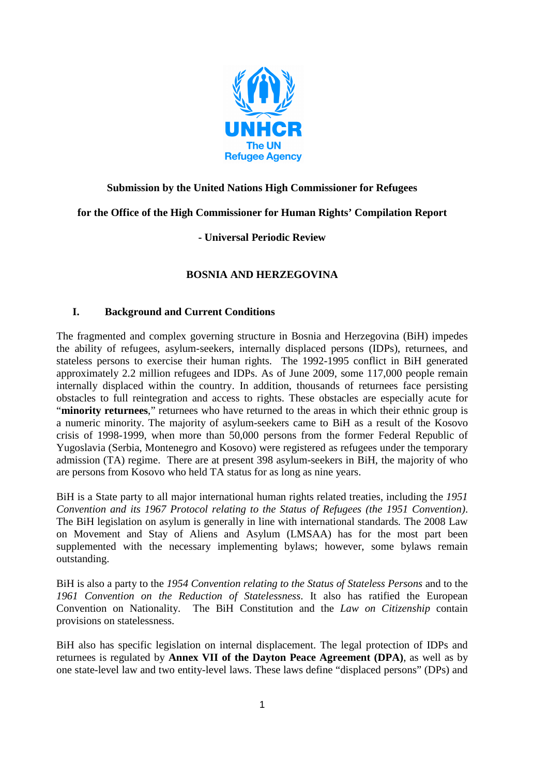

## **Submission by the United Nations High Commissioner for Refugees**

## **for the Office of the High Commissioner for Human Rights' Compilation Report**

# **- Universal Periodic Review**

## **BOSNIA AND HERZEGOVINA**

### **I. Background and Current Conditions**

The fragmented and complex governing structure in Bosnia and Herzegovina (BiH) impedes the ability of refugees, asylum-seekers, internally displaced persons (IDPs), returnees, and stateless persons to exercise their human rights. The 1992-1995 conflict in BiH generated approximately 2.2 million refugees and IDPs. As of June 2009, some 117,000 people remain internally displaced within the country. In addition, thousands of returnees face persisting obstacles to full reintegration and access to rights. These obstacles are especially acute for "**minority returnees**," returnees who have returned to the areas in which their ethnic group is a numeric minority. The majority of asylum-seekers came to BiH as a result of the Kosovo crisis of 1998-1999, when more than 50,000 persons from the former Federal Republic of Yugoslavia (Serbia, Montenegro and Kosovo) were registered as refugees under the temporary admission (TA) regime. There are at present 398 asylum-seekers in BiH, the majority of who are persons from Kosovo who held TA status for as long as nine years.

BiH is a State party to all major international human rights related treaties, including the *1951 Convention and its 1967 Protocol relating to the Status of Refugees (the 1951 Convention)*. The BiH legislation on asylum is generally in line with international standards*.* The 2008 Law on Movement and Stay of Aliens and Asylum (LMSAA) has for the most part been supplemented with the necessary implementing bylaws; however, some bylaws remain outstanding.

BiH is also a party to the *1954 Convention relating to the Status of Stateless Persons* and to the *1961 Convention on the Reduction of Statelessness*. It also has ratified the European Convention on Nationality. The BiH Constitution and the *Law on Citizenship* contain provisions on statelessness.

BiH also has specific legislation on internal displacement. The legal protection of IDPs and returnees is regulated by **Annex VII of the Dayton Peace Agreement (DPA)**, as well as by one state-level law and two entity-level laws. These laws define "displaced persons" (DPs) and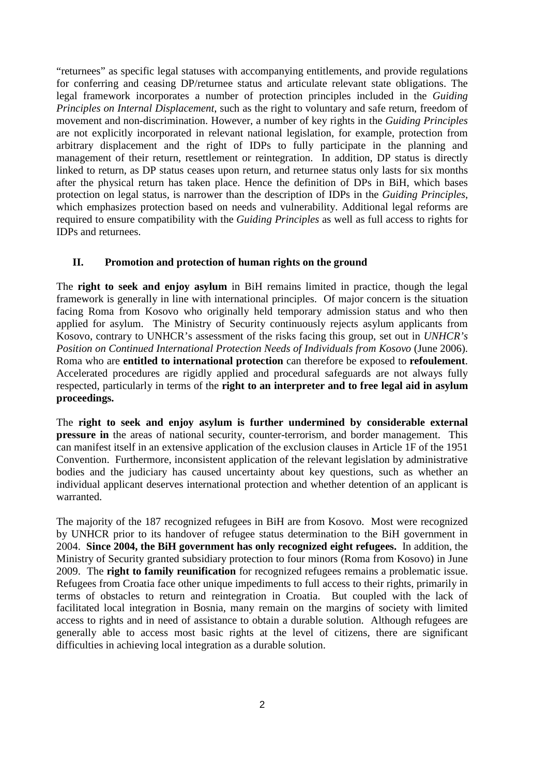"returnees" as specific legal statuses with accompanying entitlements, and provide regulations for conferring and ceasing DP/returnee status and articulate relevant state obligations. The legal framework incorporates a number of protection principles included in the *Guiding Principles on Internal Displacement*, such as the right to voluntary and safe return, freedom of movement and non-discrimination. However, a number of key rights in the *Guiding Principles* are not explicitly incorporated in relevant national legislation, for example, protection from arbitrary displacement and the right of IDPs to fully participate in the planning and management of their return, resettlement or reintegration. In addition, DP status is directly linked to return, as DP status ceases upon return, and returnee status only lasts for six months after the physical return has taken place. Hence the definition of DPs in BiH, which bases protection on legal status, is narrower than the description of IDPs in the *Guiding Principles*, which emphasizes protection based on needs and vulnerability. Additional legal reforms are required to ensure compatibility with the *Guiding Principles* as well as full access to rights for IDPs and returnees.

#### **II. Promotion and protection of human rights on the ground**

The **right to seek and enjoy asylum** in BiH remains limited in practice, though the legal framework is generally in line with international principles. Of major concern is the situation facing Roma from Kosovo who originally held temporary admission status and who then applied for asylum. The Ministry of Security continuously rejects asylum applicants from Kosovo, contrary to UNHCR's assessment of the risks facing this group, set out in *UNHCR's Position on Continued International Protection Needs of Individuals from Kosovo* (June 2006). Roma who are **entitled to international protection** can therefore be exposed to **refoulement**. Accelerated procedures are rigidly applied and procedural safeguards are not always fully respected, particularly in terms of the **right to an interpreter and to free legal aid in asylum proceedings.**

The **right to seek and enjoy asylum is further undermined by considerable external pressure in** the areas of national security, counter-terrorism, and border management. This can manifest itself in an extensive application of the exclusion clauses in Article 1F of the 1951 Convention. Furthermore, inconsistent application of the relevant legislation by administrative bodies and the judiciary has caused uncertainty about key questions, such as whether an individual applicant deserves international protection and whether detention of an applicant is warranted.

The majority of the 187 recognized refugees in BiH are from Kosovo. Most were recognized by UNHCR prior to its handover of refugee status determination to the BiH government in 2004. **Since 2004, the BiH government has only recognized eight refugees.** In addition, the Ministry of Security granted subsidiary protection to four minors (Roma from Kosovo) in June 2009. The **right to family reunification** for recognized refugees remains a problematic issue. Refugees from Croatia face other unique impediments to full access to their rights, primarily in terms of obstacles to return and reintegration in Croatia. But coupled with the lack of facilitated local integration in Bosnia, many remain on the margins of society with limited access to rights and in need of assistance to obtain a durable solution. Although refugees are generally able to access most basic rights at the level of citizens, there are significant difficulties in achieving local integration as a durable solution.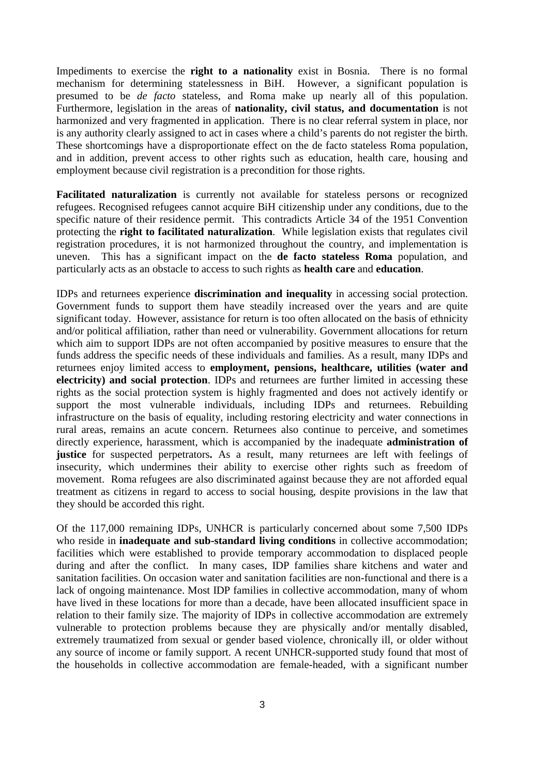Impediments to exercise the **right to a nationality** exist in Bosnia. There is no formal mechanism for determining statelessness in BiH. However, a significant population is presumed to be *de facto* stateless, and Roma make up nearly all of this population. Furthermore, legislation in the areas of **nationality, civil status, and documentation** is not harmonized and very fragmented in application. There is no clear referral system in place, nor is any authority clearly assigned to act in cases where a child's parents do not register the birth. These shortcomings have a disproportionate effect on the de facto stateless Roma population, and in addition, prevent access to other rights such as education, health care, housing and employment because civil registration is a precondition for those rights.

**Facilitated naturalization** is currently not available for stateless persons or recognized refugees. Recognised refugees cannot acquire BiH citizenship under any conditions, due to the specific nature of their residence permit. This contradicts Article 34 of the 1951 Convention protecting the **right to facilitated naturalization**. While legislation exists that regulates civil registration procedures, it is not harmonized throughout the country, and implementation is uneven. This has a significant impact on the **de facto stateless Roma** population, and particularly acts as an obstacle to access to such rights as **health care** and **education**.

IDPs and returnees experience **discrimination and inequality** in accessing social protection. Government funds to support them have steadily increased over the years and are quite significant today. However, assistance for return is too often allocated on the basis of ethnicity and/or political affiliation, rather than need or vulnerability. Government allocations for return which aim to support IDPs are not often accompanied by positive measures to ensure that the funds address the specific needs of these individuals and families. As a result, many IDPs and returnees enjoy limited access to **employment, pensions, healthcare, utilities (water and electricity) and social protection**. IDPs and returnees are further limited in accessing these rights as the social protection system is highly fragmented and does not actively identify or support the most vulnerable individuals, including IDPs and returnees. Rebuilding infrastructure on the basis of equality, including restoring electricity and water connections in rural areas, remains an acute concern. Returnees also continue to perceive, and sometimes directly experience, harassment, which is accompanied by the inadequate **administration of justice** for suspected perpetrators**.** As a result, many returnees are left with feelings of insecurity, which undermines their ability to exercise other rights such as freedom of movement. Roma refugees are also discriminated against because they are not afforded equal treatment as citizens in regard to access to social housing, despite provisions in the law that they should be accorded this right.

Of the 117,000 remaining IDPs, UNHCR is particularly concerned about some 7,500 IDPs who reside in **inadequate and sub-standard living conditions** in collective accommodation; facilities which were established to provide temporary accommodation to displaced people during and after the conflict. In many cases, IDP families share kitchens and water and sanitation facilities. On occasion water and sanitation facilities are non-functional and there is a lack of ongoing maintenance. Most IDP families in collective accommodation, many of whom have lived in these locations for more than a decade, have been allocated insufficient space in relation to their family size. The majority of IDPs in collective accommodation are extremely vulnerable to protection problems because they are physically and/or mentally disabled, extremely traumatized from sexual or gender based violence, chronically ill, or older without any source of income or family support. A recent UNHCR-supported study found that most of the households in collective accommodation are female-headed, with a significant number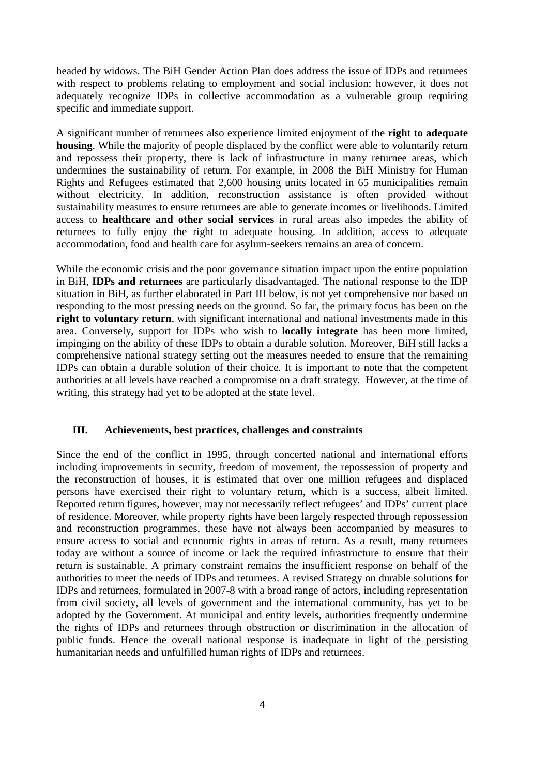headed by widows. The BiH Gender Action Plan does address the issue of IDPs and returnees with respect to problems relating to employment and social inclusion; however, it does not adequately recognize IDPs in collective accommodation as a vulnerable group requiring specific and immediate support.

A significant number of returnees also experience limited enjoyment of the **right to adequate housing**. While the majority of people displaced by the conflict were able to voluntarily return and repossess their property, there is lack of infrastructure in many returnee areas, which undermines the sustainability of return. For example, in 2008 the BiH Ministry for Human Rights and Refugees estimated that 2,600 housing units located in 65 municipalities remain without electricity. In addition, reconstruction assistance is often provided without sustainability measures to ensure returnees are able to generate incomes or livelihoods. Limited access to **healthcare and other social services** in rural areas also impedes the ability of returnees to fully enjoy the right to adequate housing. In addition, access to adequate accommodation, food and health care for asylum-seekers remains an area of concern.

While the economic crisis and the poor governance situation impact upon the entire population in BiH, **IDPs and returnees** are particularly disadvantaged. The national response to the IDP situation in BiH, as further elaborated in Part III below, is not yet comprehensive nor based on responding to the most pressing needs on the ground. So far, the primary focus has been on the **right to voluntary return**, with significant international and national investments made in this area. Conversely, support for IDPs who wish to **locally integrate** has been more limited, impinging on the ability of these IDPs to obtain a durable solution. Moreover, BiH still lacks a comprehensive national strategy setting out the measures needed to ensure that the remaining IDPs can obtain a durable solution of their choice. It is important to note that the competent authorities at all levels have reached a compromise on a draft strategy. However, at the time of writing, this strategy had yet to be adopted at the state level.

#### **III. Achievements, best practices, challenges and constraints**

Since the end of the conflict in 1995, through concerted national and international efforts including improvements in security, freedom of movement, the repossession of property and the reconstruction of houses, it is estimated that over one million refugees and displaced persons have exercised their right to voluntary return, which is a success, albeit limited. Reported return figures, however, may not necessarily reflect refugees' and IDPs' current place of residence. Moreover, while property rights have been largely respected through repossession and reconstruction programmes, these have not always been accompanied by measures to ensure access to social and economic rights in areas of return. As a result, many returnees today are without a source of income or lack the required infrastructure to ensure that their return is sustainable. A primary constraint remains the insufficient response on behalf of the authorities to meet the needs of IDPs and returnees. A revised Strategy on durable solutions for IDPs and returnees, formulated in 2007-8 with a broad range of actors, including representation from civil society, all levels of government and the international community, has yet to be adopted by the Government. At municipal and entity levels, authorities frequently undermine the rights of IDPs and returnees through obstruction or discrimination in the allocation of public funds. Hence the overall national response is inadequate in light of the persisting humanitarian needs and unfulfilled human rights of IDPs and returnees.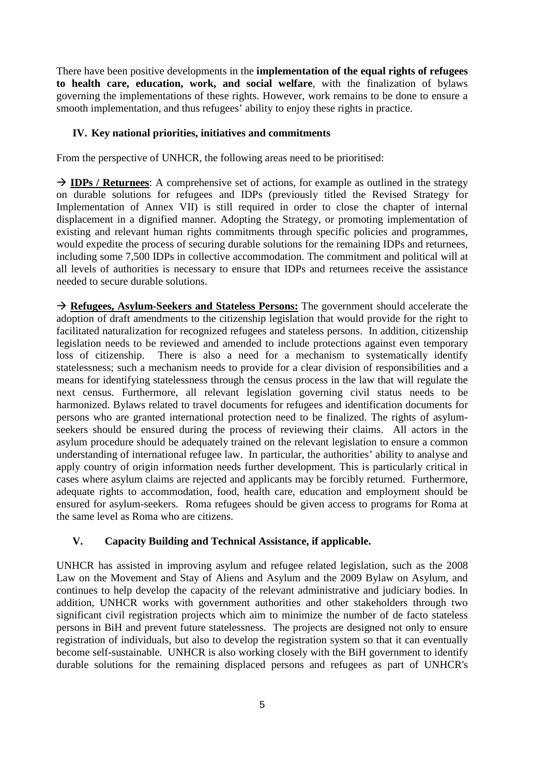There have been positive developments in the **implementation of the equal rights of refugees to health care, education, work, and social welfare**, with the finalization of bylaws governing the implementations of these rights. However, work remains to be done to ensure a smooth implementation, and thus refugees' ability to enjoy these rights in practice.

#### **IV. Key national priorities, initiatives and commitments**

From the perspective of UNHCR, the following areas need to be prioritised:

→ **IDPs / Returnees**: A comprehensive set of actions, for example as outlined in the strategy on durable solutions for refugees and IDPs (previously titled the Revised Strategy for Implementation of Annex VII) is still required in order to close the chapter of internal displacement in a dignified manner. Adopting the Strategy, or promoting implementation of existing and relevant human rights commitments through specific policies and programmes, would expedite the process of securing durable solutions for the remaining IDPs and returnees, including some 7,500 IDPs in collective accommodation. The commitment and political will at all levels of authorities is necessary to ensure that IDPs and returnees receive the assistance needed to secure durable solutions.

 **Refugees, Asylum-Seekers and Stateless Persons:** The government should accelerate the adoption of draft amendments to the citizenship legislation that would provide for the right to facilitated naturalization for recognized refugees and stateless persons. In addition, citizenship legislation needs to be reviewed and amended to include protections against even temporary loss of citizenship. There is also a need for a mechanism to systematically identify statelessness; such a mechanism needs to provide for a clear division of responsibilities and a means for identifying statelessness through the census process in the law that will regulate the next census. Furthermore, all relevant legislation governing civil status needs to be harmonized. Bylaws related to travel documents for refugees and identification documents for persons who are granted international protection need to be finalized. The rights of asylumseekers should be ensured during the process of reviewing their claims. All actors in the asylum procedure should be adequately trained on the relevant legislation to ensure a common understanding of international refugee law. In particular, the authorities' ability to analyse and apply country of origin information needs further development. This is particularly critical in cases where asylum claims are rejected and applicants may be forcibly returned. Furthermore, adequate rights to accommodation, food, health care, education and employment should be ensured for asylum-seekers. Roma refugees should be given access to programs for Roma at the same level as Roma who are citizens.

### **V. Capacity Building and Technical Assistance, if applicable.**

UNHCR has assisted in improving asylum and refugee related legislation, such as the 2008 Law on the Movement and Stay of Aliens and Asylum and the 2009 Bylaw on Asylum, and continues to help develop the capacity of the relevant administrative and judiciary bodies. In addition, UNHCR works with government authorities and other stakeholders through two significant civil registration projects which aim to minimize the number of de facto stateless persons in BiH and prevent future statelessness. The projects are designed not only to ensure registration of individuals, but also to develop the registration system so that it can eventually become self-sustainable. UNHCR is also working closely with the BiH government to identify durable solutions for the remaining displaced persons and refugees as part of UNHCR's